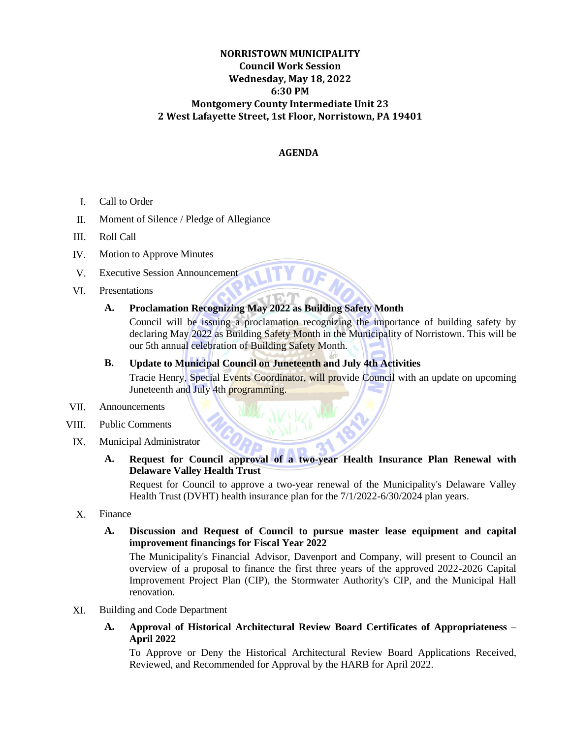# **NORRISTOWN MUNICIPALITY Council Work Session Wednesday, May 18, 2022 6:30 PM Montgomery County Intermediate Unit 23 2 West Lafayette Street, 1st Floor, Norristown, PA 19401**

## **AGENDA**

- I. Call to Order
- II. Moment of Silence / Pledge of Allegiance
- III. Roll Call
- IV. Motion to Approve Minutes
- V. Executive Session Announcement
- VI. Presentations

# **A. Proclamation Recognizing May 2022 as Building Safety Month**

Council will be issuing a proclamation recognizing the importance of building safety by declaring May 2022 as Building Safety Month in the Municipality of Norristown. This will be our 5th annual celebration of Building Safety Month.

### **B. Update to Municipal Council on Juneteenth and July 4th Activities**

Tracie Henry, Special Events Coordinator, will provide Council with an update on upcoming Juneteenth and July 4th programming.

#### VII. Announcements

VIII. Public Comments

### IX. Municipal Administrator

**A. Request for Council approval of a two-year Health Insurance Plan Renewal with Delaware Valley Health Trust**

Request for Council to approve a two-year renewal of the Municipality's Delaware Valley Health Trust (DVHT) health insurance plan for the  $7/1/2022 - 6/30/2024$  plan years.

X. Finance

## **A. Discussion and Request of Council to pursue master lease equipment and capital improvement financings for Fiscal Year 2022**

The Municipality's Financial Advisor, Davenport and Company, will present to Council an overview of a proposal to finance the first three years of the approved 2022-2026 Capital Improvement Project Plan (CIP), the Stormwater Authority's CIP, and the Municipal Hall renovation.

- XI. Building and Code Department
	- **A. Approval of Historical Architectural Review Board Certificates of Appropriateness – April 2022**

To Approve or Deny the Historical Architectural Review Board Applications Received, Reviewed, and Recommended for Approval by the HARB for April 2022.